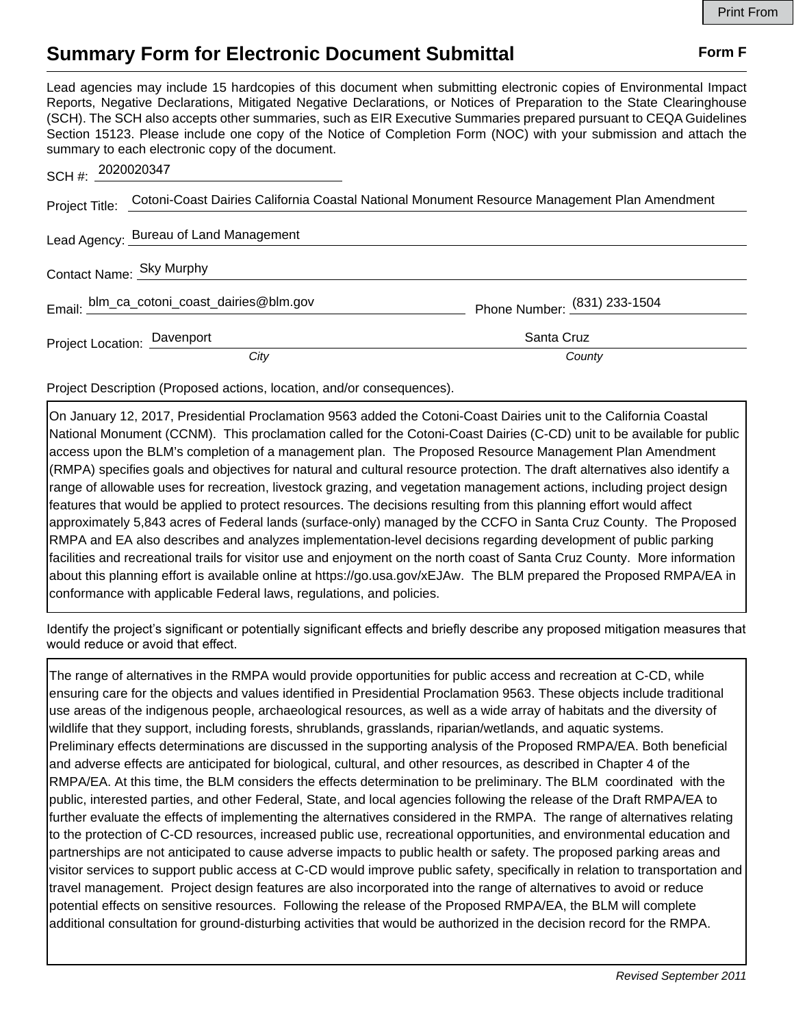## **Summary Form for Electronic Document Submittal Form F Form F**

Lead agencies may include 15 hardcopies of this document when submitting electronic copies of Environmental Impact Reports, Negative Declarations, Mitigated Negative Declarations, or Notices of Preparation to the State Clearinghouse (SCH). The SCH also accepts other summaries, such as EIR Executive Summaries prepared pursuant to CEQA Guidelines Section 15123. Please include one copy of the Notice of Completion Form (NOC) with your submission and attach the summary to each electronic copy of the document.

| SCH #: 2020020347           |                                                                                                             |                              |
|-----------------------------|-------------------------------------------------------------------------------------------------------------|------------------------------|
|                             | Project Title: Cotoni-Coast Dairies California Coastal National Monument Resource Management Plan Amendment |                              |
|                             | Lead Agency: Bureau of Land Management                                                                      |                              |
|                             | Contact Name: Sky Murphy                                                                                    |                              |
|                             | Email: blm_ca_cotoni_coast_dairies@blm.gov                                                                  | Phone Number: (831) 233-1504 |
| Project Location: Davenport |                                                                                                             | Santa Cruz                   |
|                             | City                                                                                                        | County                       |

Project Description (Proposed actions, location, and/or consequences).

On January 12, 2017, Presidential Proclamation 9563 added the Cotoni-Coast Dairies unit to the California Coastal National Monument (CCNM). This proclamation called for the Cotoni-Coast Dairies (C-CD) unit to be available for public access upon the BLM's completion of a management plan. The Proposed Resource Management Plan Amendment (RMPA) specifies goals and objectives for natural and cultural resource protection. The draft alternatives also identify a range of allowable uses for recreation, livestock grazing, and vegetation management actions, including project design features that would be applied to protect resources. The decisions resulting from this planning effort would affect approximately 5,843 acres of Federal lands (surface-only) managed by the CCFO in Santa Cruz County. The Proposed RMPA and EA also describes and analyzes implementation-level decisions regarding development of public parking facilities and recreational trails for visitor use and enjoyment on the north coast of Santa Cruz County. More information about this planning effort is available online at https://go.usa.gov/xEJAw. The BLM prepared the Proposed RMPA/EA in conformance with applicable Federal laws, regulations, and policies.

Identify the project's significant or potentially significant effects and briefly describe any proposed mitigation measures that would reduce or avoid that effect.

The range of alternatives in the RMPA would provide opportunities for public access and recreation at C-CD, while ensuring care for the objects and values identified in Presidential Proclamation 9563. These objects include traditional use areas of the indigenous people, archaeological resources, as well as a wide array of habitats and the diversity of wildlife that they support, including forests, shrublands, grasslands, riparian/wetlands, and aquatic systems. Preliminary effects determinations are discussed in the supporting analysis of the Proposed RMPA/EA. Both beneficial and adverse effects are anticipated for biological, cultural, and other resources, as described in Chapter 4 of the RMPA/EA. At this time, the BLM considers the effects determination to be preliminary. The BLM coordinated with the public, interested parties, and other Federal, State, and local agencies following the release of the Draft RMPA/EA to further evaluate the effects of implementing the alternatives considered in the RMPA. The range of alternatives relating to the protection of C-CD resources, increased public use, recreational opportunities, and environmental education and partnerships are not anticipated to cause adverse impacts to public health or safety. The proposed parking areas and visitor services to support public access at C-CD would improve public safety, specifically in relation to transportation and travel management. Project design features are also incorporated into the range of alternatives to avoid or reduce potential effects on sensitive resources. Following the release of the Proposed RMPA/EA, the BLM will complete additional consultation for ground-disturbing activities that would be authorized in the decision record for the RMPA.